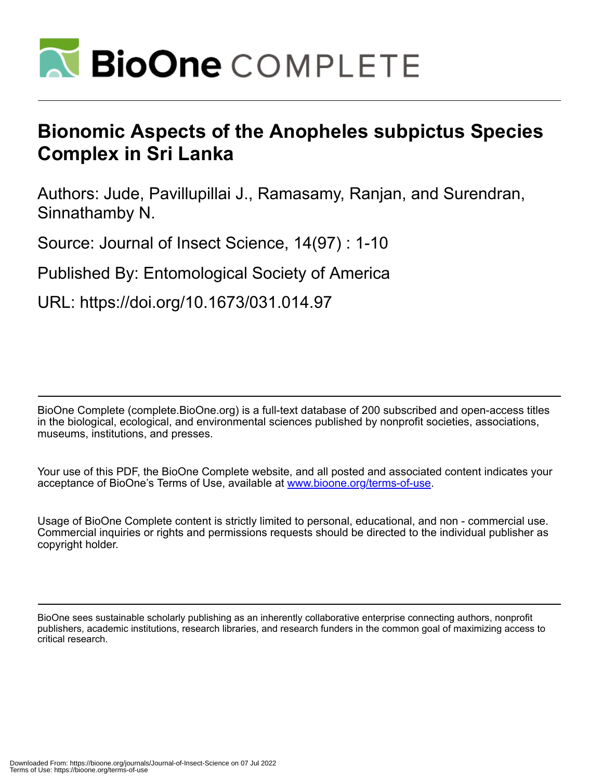

# **Bionomic Aspects of the Anopheles subpictus Species Complex in Sri Lanka**

Authors: Jude, Pavillupillai J., Ramasamy, Ranjan, and Surendran, Sinnathamby N.

Source: Journal of Insect Science, 14(97) : 1-10

Published By: Entomological Society of America

URL: https://doi.org/10.1673/031.014.97

BioOne Complete (complete.BioOne.org) is a full-text database of 200 subscribed and open-access titles in the biological, ecological, and environmental sciences published by nonprofit societies, associations, museums, institutions, and presses.

Your use of this PDF, the BioOne Complete website, and all posted and associated content indicates your acceptance of BioOne's Terms of Use, available at www.bioone.org/terms-of-use.

Usage of BioOne Complete content is strictly limited to personal, educational, and non - commercial use. Commercial inquiries or rights and permissions requests should be directed to the individual publisher as copyright holder.

BioOne sees sustainable scholarly publishing as an inherently collaborative enterprise connecting authors, nonprofit publishers, academic institutions, research libraries, and research funders in the common goal of maximizing access to critical research.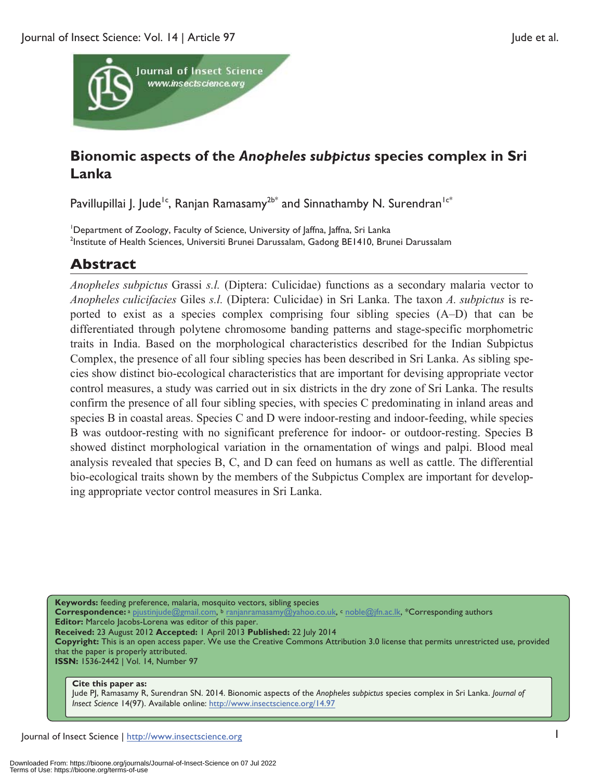

# **Bionomic aspects of the** *Anopheles subpictus* **species complex in Sri Lanka**

Pavillupillai J. Jude<sup>1c</sup>, Ranjan Ramasamy<sup>2b\*</sup> and Sinnathamby N. Surendran<sup>1c\*</sup>

<sup>1</sup>Department of Zoology, Faculty of Science, University of Jaffna, Jaffna, Sri Lanka<br><sup>2</sup>Institute of Hoalth Sciences, Universiti Brunei Darussalam, Gadong BE1410, Brun <sup>2</sup>Institute of Health Sciences, Universiti Brunei Darussalam, Gadong BE1410, Brunei Darussalam

# **Abstract**

*Anopheles subpictus* Grassi *s.l.* (Diptera: Culicidae) functions as a secondary malaria vector to *Anopheles culicifacies* Giles *s.l.* (Diptera: Culicidae) in Sri Lanka. The taxon *A. subpictus* is reported to exist as a species complex comprising four sibling species (A–D) that can be differentiated through polytene chromosome banding patterns and stage-specific morphometric traits in India. Based on the morphological characteristics described for the Indian Subpictus Complex, the presence of all four sibling species has been described in Sri Lanka. As sibling species show distinct bio-ecological characteristics that are important for devising appropriate vector control measures, a study was carried out in six districts in the dry zone of Sri Lanka. The results confirm the presence of all four sibling species, with species C predominating in inland areas and species B in coastal areas. Species C and D were indoor-resting and indoor-feeding, while species B was outdoor-resting with no significant preference for indoor- or outdoor-resting. Species B showed distinct morphological variation in the ornamentation of wings and palpi. Blood meal analysis revealed that species B, C, and D can feed on humans as well as cattle. The differential bio-ecological traits shown by the members of the Subpictus Complex are important for developing appropriate vector control measures in Sri Lanka.

**Keywords:** feeding preference, malaria, mosquito vectors, sibling species

**Correspondence:** a pjustinjude@gmail.com, b ranjanramasamy@yahoo.co.uk, c noble@jfn.ac.lk, \*Corresponding authors **Editor:** Marcelo Jacobs-Lorena was editor of this paper.

**Received:** 23 August 2012 **Accepted:** 1 April 2013 **Published:** 22 July 2014

**Copyright:** This is an open access paper. We use the Creative Commons Attribution 3.0 license that permits unrestricted use, provided that the paper is properly attributed.

**ISSN:** 1536-2442 | Vol. 14, Number 97

#### **Cite this paper as:**

Jude PJ, Ramasamy R, Surendran SN. 2014. Bionomic aspects of the *Anopheles subpictus* species complex in Sri Lanka. *Journal of Insect Science* 14(97). Available online: http://www.insectscience.org/14.97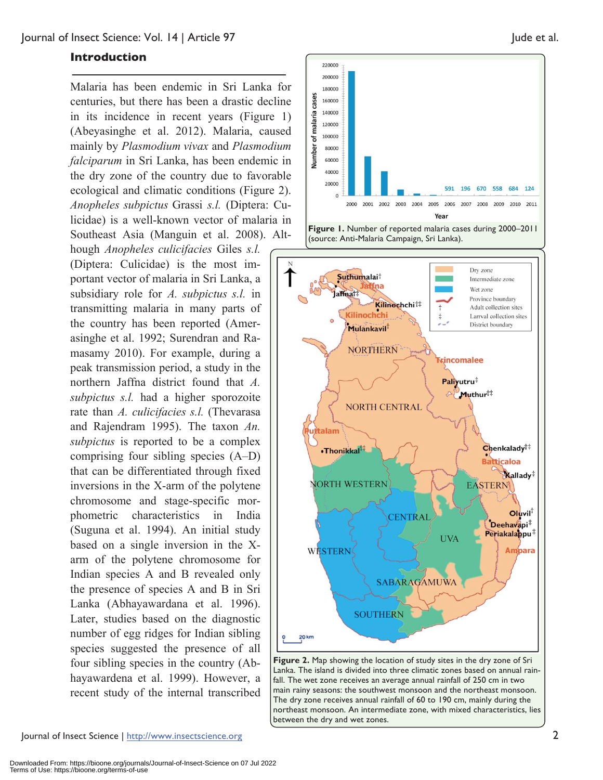#### **Introduction**

Malaria has been endemic in Sri Lanka for centuries, but there has been a drastic decline in its incidence in recent years (Figure 1) (Abeyasinghe et al. 2012). Malaria, caused mainly by *Plasmodium vivax* and *Plasmodium falciparum* in Sri Lanka, has been endemic in the dry zone of the country due to favorable ecological and climatic conditions (Figure 2). *Anopheles subpictus* Grassi *s.l.* (Diptera: Culicidae) is a well-known vector of malaria in Southeast Asia (Manguin et al. 2008). Although *Anopheles culicifacies* Giles *s.l.* (Diptera: Culicidae) is the most important vector of malaria in Sri Lanka, a subsidiary role for *A. subpictus s.l.* in transmitting malaria in many parts of the country has been reported (Amerasinghe et al. 1992; Surendran and Ramasamy 2010). For example, during a peak transmission period, a study in the northern Jaffna district found that *A. subpictus s.l.* had a higher sporozoite rate than *A. culicifacies s.l.* (Thevarasa and Rajendram 1995). The taxon *An. subpictus* is reported to be a complex comprising four sibling species (A–D) that can be differentiated through fixed inversions in the X-arm of the polytene chromosome and stage-specific morphometric characteristics in India (Suguna et al. 1994). An initial study based on a single inversion in the Xarm of the polytene chromosome for Indian species A and B revealed only the presence of species A and B in Sri Lanka (Abhayawardana et al. 1996). Later, studies based on the diagnostic number of egg ridges for Indian sibling species suggested the presence of all four sibling species in the country (Abhayawardena et al. 1999). However, a recent study of the internal transcribed



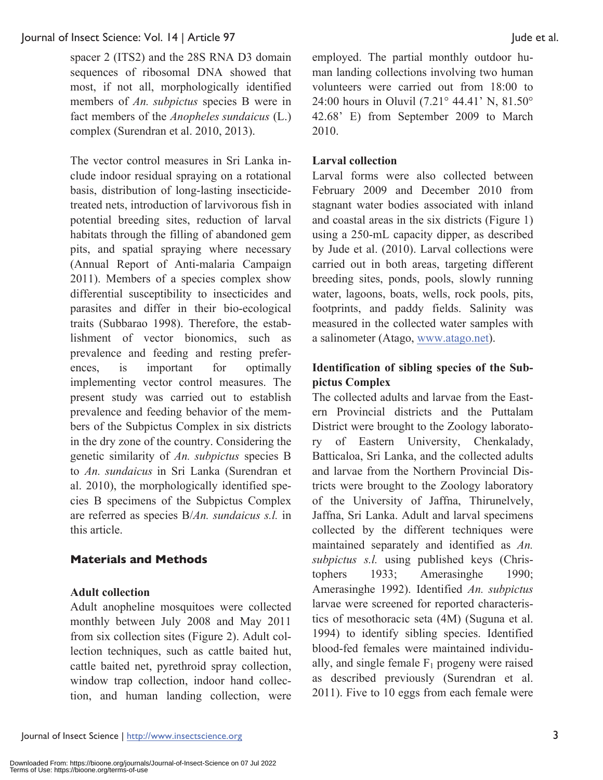spacer 2 (ITS2) and the 28S RNA D3 domain sequences of ribosomal DNA showed that most, if not all, morphologically identified members of *An. subpictus* species B were in fact members of the *Anopheles sundaicus* (L.) complex (Surendran et al. 2010, 2013).

The vector control measures in Sri Lanka include indoor residual spraying on a rotational basis, distribution of long-lasting insecticidetreated nets, introduction of larvivorous fish in potential breeding sites, reduction of larval habitats through the filling of abandoned gem pits, and spatial spraying where necessary (Annual Report of Anti-malaria Campaign 2011). Members of a species complex show differential susceptibility to insecticides and parasites and differ in their bio-ecological traits (Subbarao 1998). Therefore, the establishment of vector bionomics, such as prevalence and feeding and resting preferences, is important for optimally implementing vector control measures. The present study was carried out to establish prevalence and feeding behavior of the members of the Subpictus Complex in six districts in the dry zone of the country. Considering the genetic similarity of *An. subpictus* species B to *An. sundaicus* in Sri Lanka (Surendran et al. 2010), the morphologically identified species B specimens of the Subpictus Complex are referred as species B/*An. sundaicus s.l.* in this article.

# **Materials and Methods**

### **Adult collection**

Adult anopheline mosquitoes were collected monthly between July 2008 and May 2011 from six collection sites (Figure 2). Adult collection techniques, such as cattle baited hut, cattle baited net, pyrethroid spray collection, window trap collection, indoor hand collection, and human landing collection, were employed. The partial monthly outdoor human landing collections involving two human volunteers were carried out from 18:00 to 24:00 hours in Oluvil (7.21° 44.41' N, 81.50° 42.68' E) from September 2009 to March 2010.

# **Larval collection**

Larval forms were also collected between February 2009 and December 2010 from stagnant water bodies associated with inland and coastal areas in the six districts (Figure 1) using a 250-mL capacity dipper, as described by Jude et al. (2010). Larval collections were carried out in both areas, targeting different breeding sites, ponds, pools, slowly running water, lagoons, boats, wells, rock pools, pits, footprints, and paddy fields. Salinity was measured in the collected water samples with a salinometer (Atago, www.atago.net).

# **Identification of sibling species of the Subpictus Complex**

The collected adults and larvae from the Eastern Provincial districts and the Puttalam District were brought to the Zoology laboratory of Eastern University, Chenkalady, Batticaloa, Sri Lanka, and the collected adults and larvae from the Northern Provincial Districts were brought to the Zoology laboratory of the University of Jaffna, Thirunelvely, Jaffna, Sri Lanka. Adult and larval specimens collected by the different techniques were maintained separately and identified as *An. subpictus s.l.* using published keys (Christophers 1933; Amerasinghe 1990; Amerasinghe 1992). Identified *An. subpictus* larvae were screened for reported characteristics of mesothoracic seta (4M) (Suguna et al. 1994) to identify sibling species. Identified blood-fed females were maintained individually, and single female  $F_1$  progeny were raised as described previously (Surendran et al. 2011). Five to 10 eggs from each female were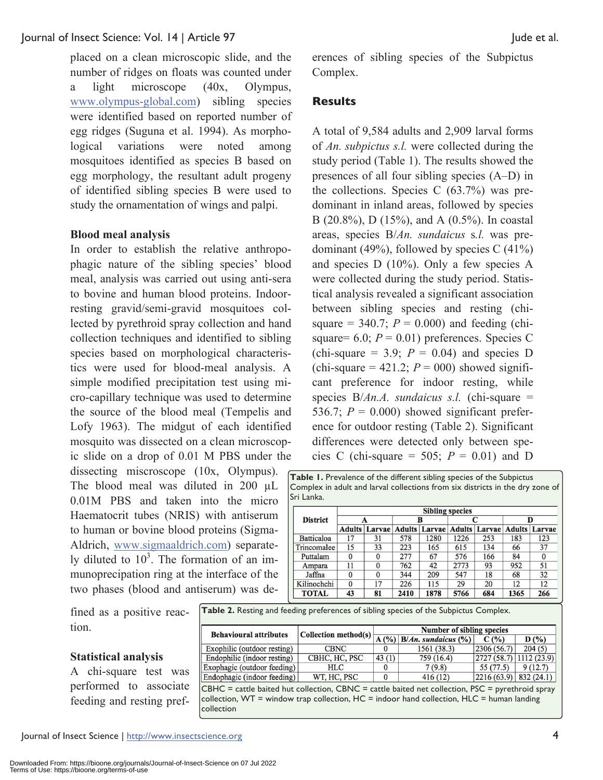placed on a clean microscopic slide, and the number of ridges on floats was counted under a light microscope (40x, Olympus, www.olympus-global.com) sibling species were identified based on reported number of egg ridges (Suguna et al. 1994). As morphological variations were noted among mosquitoes identified as species B based on egg morphology, the resultant adult progeny of identified sibling species B were used to study the ornamentation of wings and palpi.

#### **Blood meal analysis**

In order to establish the relative anthropophagic nature of the sibling species' blood meal, analysis was carried out using anti-sera to bovine and human blood proteins. Indoorresting gravid/semi-gravid mosquitoes collected by pyrethroid spray collection and hand collection techniques and identified to sibling species based on morphological characteristics were used for blood-meal analysis. A simple modified precipitation test using micro-capillary technique was used to determine the source of the blood meal (Tempelis and Lofy 1963). The midgut of each identified mosquito was dissected on a clean microscopic slide on a drop of 0.01 M PBS under the

dissecting miscroscope (10x, Olympus). The blood meal was diluted in 200  $\mu$ L 0.01M PBS and taken into the micro Haematocrit tubes (NRIS) with antiserum to human or bovine blood proteins (Sigma-Aldrich, www.sigmaaldrich.com) separately diluted to  $10<sup>3</sup>$ . The formation of an immunoprecipation ring at the interface of the two phases (blood and antiserum) was deerences of sibling species of the Subpictus Complex.

## **Results**

A total of 9,584 adults and 2,909 larval forms of *An. subpictus s.l.* were collected during the study period (Table 1). The results showed the presences of all four sibling species (A–D) in the collections. Species C (63.7%) was predominant in inland areas, followed by species B (20.8%), D (15%), and A (0.5%). In coastal areas, species B/*An. sundaicus* s*.l.* was predominant (49%), followed by species  $C(41%)$ and species D (10%). Only a few species A were collected during the study period. Statistical analysis revealed a significant association between sibling species and resting (chisquare  $= 340.7$ ;  $P = 0.000$ ) and feeding (chisquare=  $6.0$ ;  $P = 0.01$ ) preferences. Species C (chi-square  $= 3.9$ ;  $P = 0.04$ ) and species D (chi-square  $= 421.2$ ;  $P = 000$ ) showed significant preference for indoor resting, while species B/*An.A. sundaicus s.l.* (chi-square = 536.7;  $P = 0.000$ ) showed significant preference for outdoor resting (Table 2). Significant differences were detected only between species C (chi-square = 505;  $P = 0.01$ ) and D

**Table 1.** Prevalence of the different sibling species of the Subpictus Complex in adult and larval collections from six districts in the dry zone of Sri Lanka.

|                 | <b>Sibling species</b> |                      |               |        |      |                      |      |                      |
|-----------------|------------------------|----------------------|---------------|--------|------|----------------------|------|----------------------|
| <b>District</b> | A                      |                      | в             |        |      |                      | D    |                      |
|                 |                        | <b>Adults Larvae</b> | <b>Adults</b> | Larvae |      | <b>Adults Larvae</b> |      | <b>Adults Larvae</b> |
| Batticaloa      | 17                     | 31                   | 578           | 1280   | 1226 | 253                  | 183  | 123                  |
| Trincomalee     | 15                     | 33                   | 223           | 165    | 615  | 134                  | 66   | 37                   |
| Puttalam        |                        | $\Omega$             | 277           | 67     | 576  | 166                  | 84   | $\bf{0}$             |
| Ampara          | 11                     | $\Omega$             | 762           | 42     | 2773 | 93                   | 952  | 51                   |
| Jaffna          |                        | $\Omega$             | 344           | 209    | 547  | 18                   | 68   | 32                   |
| Kilinochchi     | $\mathbf{0}$           | 17                   | 226           | 115    | 29   | 20                   | 12   | 12                   |
| <b>TOTAL</b>    | 43                     | 81                   | 2410          | 1878   | 5766 | 684                  | 1365 | 266                  |

fined as a positive reaction.

| <b>Behavioural attributes</b> |               | Number of sibling species<br>Collection method(s) $\left  \frac{A(\%)}{A(\%)} \right  B/An$ . sundaicus (%) |             |                                        |            |  |
|-------------------------------|---------------|-------------------------------------------------------------------------------------------------------------|-------------|----------------------------------------|------------|--|
|                               |               |                                                                                                             |             | C(%)                                   | D(%)       |  |
| Exophilic (outdoor resting)   | <b>CBNC</b>   |                                                                                                             | 1561 (38.3) | 2306(56.7)                             | 204(5)     |  |
| Endophilic (indoor resting)   | CBHC, HC, PSC | 43(1)                                                                                                       | 759 (16.4)  | $\left  2727(58.7) \right  1112(23.9)$ |            |  |
| Exophagic (outdoor feeding)   | <b>HLC</b>    |                                                                                                             | 7(9.8)      | 55 (77.5)                              | 9(12.7)    |  |
| Endophagic (indoor feeding)   | WT, HC, PSC   |                                                                                                             | 416(12)     | 2216(63.9)                             | 832 (24.1) |  |
| $- - - -$                     |               |                                                                                                             | .           | $-1$                                   | .          |  |

 $CBHC =$  cattle baited hut collection,  $CBNC =$  cattle baited net collection,  $PSC =$  pyrethroid spray collection, WT = window trap collection, HC = indoor hand collection, HLC = human landing collection

#### **Statistical analysis**

A chi-square test was performed to associate feeding and resting pref-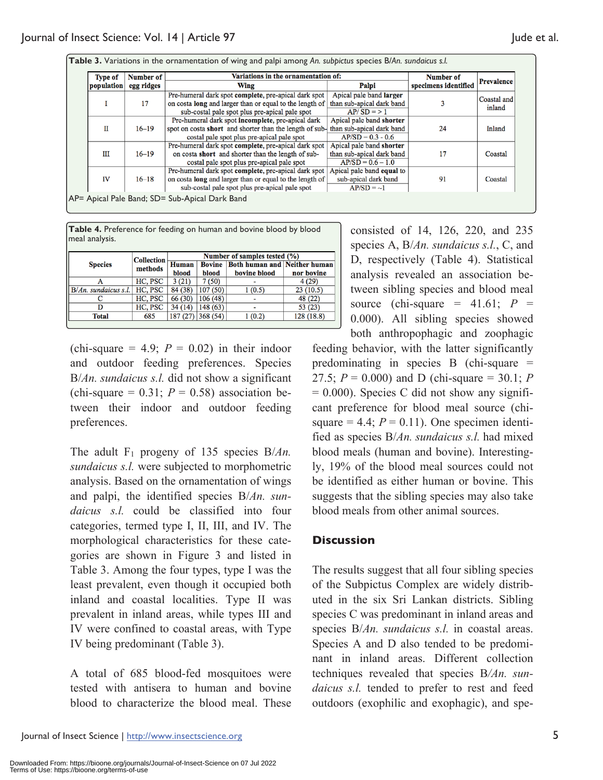| <b>Type of</b><br>population | Number of  | Variations in the ornamentation of:                            | Number of                 |                      |                       |
|------------------------------|------------|----------------------------------------------------------------|---------------------------|----------------------|-----------------------|
|                              | egg ridges | Wing                                                           | Palpi                     | specimens identified | <b>Prevalence</b>     |
| 17                           |            | Pre-humeral dark spot complete, pre-apical dark spot           | Apical pale band larger   |                      | Coastal and<br>inland |
|                              |            | on costa long and larger than or equal to the length of        | than sub-apical dark band |                      |                       |
|                              |            | sub-costal pale spot plus pre-apical pale spot                 | $AP/SD = > 1$             |                      |                       |
| П<br>$16 - 19$               |            | Pre-humeral dark spot incomplete, pre-apical dark              | Apical pale band shorter  | 24                   | Inland                |
|                              |            | spot on costa short and shorter than the length of sub-        | than sub-apical dark band |                      |                       |
|                              |            | costal pale spot plus pre-apical pale spot                     | $AP/SD = 0.3 - 0.6$       |                      |                       |
|                              |            | Pre-humeral dark spot complete, pre-apical dark spot           | Apical pale band shorter  |                      |                       |
| Ш                            | $16 - 19$  | on costa short and shorter than the length of sub-             | than sub-apical dark band | 17                   | Coastal               |
|                              |            | costal pale spot plus pre-apical pale spot                     | $AP/SD = 0.6 - 1.0$       |                      |                       |
| $16 - 18$<br><b>IV</b>       |            | Pre-humeral dark spot complete, pre-apical dark spot           | Apical pale band equal to |                      |                       |
|                              |            | on costa <b>long</b> and larger than or equal to the length of | sub-apical dark band      | 91                   | Coastal               |
|                              |            | sub-costal pale spot plus pre-apical pale spot                 | $AP/SD = 1$               |                      |                       |

| Table 4. Preference for feeding on human and bovine blood by blood |  |
|--------------------------------------------------------------------|--|
| meal analysis.                                                     |  |

|                         | <b>Collection</b> | Number of samples tested (%) |                                                |              |            |  |
|-------------------------|-------------------|------------------------------|------------------------------------------------|--------------|------------|--|
| <b>Species</b>          | methods           | Human                        | <b>Bovine   Both human and   Neither human</b> |              |            |  |
|                         |                   | blood                        | blood                                          | bovine blood | nor bovine |  |
| А                       | HC, PSC           | 3(21)                        | 7(50)                                          |              | 4(29)      |  |
| $B/An$ . sundaicus s.l. | HC, PSC           | 84 (38)                      | 107(50)                                        | 1(0.5)       | 23(10.5)   |  |
|                         | HC, PSC           | 66 (30)                      | 106(48)                                        |              | 48 (22)    |  |
|                         | HC, PSC           | 34 (14)                      | 148 (63)                                       |              | 53(23)     |  |
| <b>Total</b>            | 685               |                              | 187 (27) 368 (54)                              | 1(0.2)       | 128 (18.8) |  |

(chi-square  $= 4.9$ ;  $P = 0.02$ ) in their indoor and outdoor feeding preferences. Species B/*An. sundaicus s.l.* did not show a significant (chi-square  $= 0.31$ ;  $P = 0.58$ ) association between their indoor and outdoor feeding preferences.

The adult F<sub>1</sub> progeny of 135 species B/*An*. *sundaicus s.l.* were subjected to morphometric analysis. Based on the ornamentation of wings and palpi, the identified species B/*An. sundaicus s.l.* could be classified into four categories, termed type I, II, III, and IV. The morphological characteristics for these categories are shown in Figure 3 and listed in Table 3. Among the four types, type I was the least prevalent, even though it occupied both inland and coastal localities. Type II was prevalent in inland areas, while types III and IV were confined to coastal areas, with Type IV being predominant (Table 3).

A total of 685 blood-fed mosquitoes were tested with antisera to human and bovine blood to characterize the blood meal. These consisted of 14, 126, 220, and 235 species A, B/*An. sundaicus s.l.*, C, and D, respectively (Table 4). Statistical analysis revealed an association between sibling species and blood meal source (chi-square =  $41.61$ ;  $P =$ 0.000). All sibling species showed both anthropophagic and zoophagic

feeding behavior, with the latter significantly predominating in species B (chi-square = 27.5;  $P = 0.000$ ) and D (chi-square = 30.1; *P*  $= 0.000$ ). Species C did not show any significant preference for blood meal source (chisquare  $= 4.4$ ;  $P = 0.11$ ). One specimen identified as species B/*An. sundaicus s.l.* had mixed blood meals (human and bovine). Interestingly, 19% of the blood meal sources could not be identified as either human or bovine. This suggests that the sibling species may also take blood meals from other animal sources.

### **Discussion**

The results suggest that all four sibling species of the Subpictus Complex are widely distributed in the six Sri Lankan districts. Sibling species C was predominant in inland areas and species B/*An.* sundaicus s.l. in coastal areas. Species A and D also tended to be predominant in inland areas. Different collection techniques revealed that species B*/An. sundaicus s.l.* tended to prefer to rest and feed outdoors (exophilic and exophagic), and spe-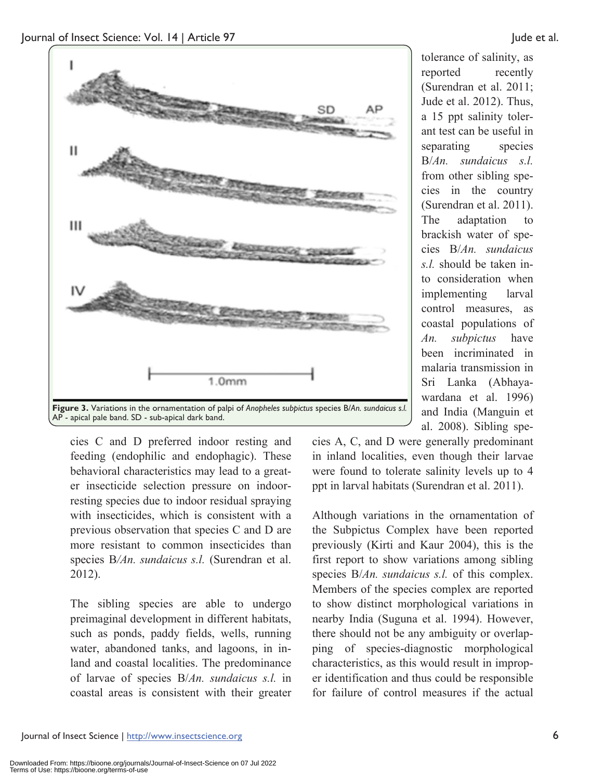



cies C and D preferred indoor resting and feeding (endophilic and endophagic). These behavioral characteristics may lead to a greater insecticide selection pressure on indoorresting species due to indoor residual spraying with insecticides, which is consistent with a previous observation that species C and D are more resistant to common insecticides than species B*/An. sundaicus s.l.* (Surendran et al. 2012).

The sibling species are able to undergo preimaginal development in different habitats, such as ponds, paddy fields, wells, running water, abandoned tanks, and lagoons, in inland and coastal localities. The predominance of larvae of species B/*An. sundaicus s.l.* in coastal areas is consistent with their greater

al. 2008). Sibling species A, C, and D were generally predominant in inland localities, even though their larvae were found to tolerate salinity levels up to 4 ppt in larval habitats (Surendran et al. 2011).

Although variations in the ornamentation of the Subpictus Complex have been reported previously (Kirti and Kaur 2004), this is the first report to show variations among sibling species B/*An. sundaicus s.l.* of this complex. Members of the species complex are reported to show distinct morphological variations in nearby India (Suguna et al. 1994). However, there should not be any ambiguity or overlapping of species-diagnostic morphological characteristics, as this would result in improper identification and thus could be responsible for failure of control measures if the actual

tolerance of salinity, as reported recently (Surendran et al. 2011; Jude et al. 2012). Thus, a 15 ppt salinity tolerant test can be useful in separating species B/*An. sundaicus s.l.* from other sibling species in the country (Surendran et al. 2011). The adaptation to brackish water of species B/*An. sundaicus s.l.* should be taken into consideration when implementing larval control measures, as

coastal populations of *An. subpictus* have been incriminated in malaria transmission in Sri Lanka (Abhayawardana et al. 1996) and India (Manguin et

Journal of Insect Science | http://www.insectscience.org 6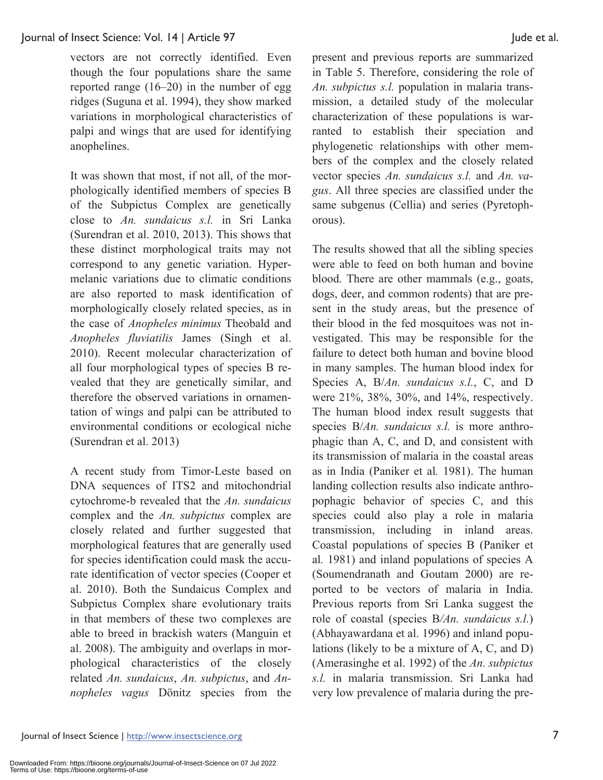vectors are not correctly identified. Even though the four populations share the same reported range (16–20) in the number of egg ridges (Suguna et al. 1994), they show marked variations in morphological characteristics of palpi and wings that are used for identifying anophelines.

It was shown that most, if not all, of the morphologically identified members of species B of the Subpictus Complex are genetically close to *An. sundaicus s.l.* in Sri Lanka (Surendran et al. 2010, 2013). This shows that these distinct morphological traits may not correspond to any genetic variation. Hypermelanic variations due to climatic conditions are also reported to mask identification of morphologically closely related species, as in the case of *Anopheles minimus* Theobald and *Anopheles fluviatilis* James (Singh et al. 2010). Recent molecular characterization of all four morphological types of species B revealed that they are genetically similar, and therefore the observed variations in ornamentation of wings and palpi can be attributed to environmental conditions or ecological niche (Surendran et al. 2013)

A recent study from Timor-Leste based on DNA sequences of ITS2 and mitochondrial cytochrome-b revealed that the *An. sundaicus* complex and the *An. subpictus* complex are closely related and further suggested that morphological features that are generally used for species identification could mask the accurate identification of vector species (Cooper et al. 2010). Both the Sundaicus Complex and Subpictus Complex share evolutionary traits in that members of these two complexes are able to breed in brackish waters (Manguin et al. 2008). The ambiguity and overlaps in morphological characteristics of the closely related *An. sundaicus*, *An. subpictus*, and *Annopheles vagus* Dönitz species from the present and previous reports are summarized in Table 5. Therefore, considering the role of *An. subpictus s.l.* population in malaria transmission, a detailed study of the molecular characterization of these populations is warranted to establish their speciation and phylogenetic relationships with other members of the complex and the closely related vector species *An. sundaicus s.l.* and *An. vagus*. All three species are classified under the same subgenus (Cellia) and series (Pyretophorous).

The results showed that all the sibling species were able to feed on both human and bovine blood. There are other mammals (e.g., goats, dogs, deer, and common rodents) that are present in the study areas, but the presence of their blood in the fed mosquitoes was not investigated. This may be responsible for the failure to detect both human and bovine blood in many samples. The human blood index for Species A, B/*An. sundaicus s.l.*, C, and D were 21%, 38%, 30%, and 14%, respectively. The human blood index result suggests that species B/*An. sundaicus s.l.* is more anthrophagic than A, C, and D, and consistent with its transmission of malaria in the coastal areas as in India (Paniker et al*.* 1981). The human landing collection results also indicate anthropophagic behavior of species C, and this species could also play a role in malaria transmission, including in inland areas. Coastal populations of species B (Paniker et al*.* 1981) and inland populations of species A (Soumendranath and Goutam 2000) are reported to be vectors of malaria in India. Previous reports from Sri Lanka suggest the role of coastal (species B*/An. sundaicus s.l.*) (Abhayawardana et al. 1996) and inland populations (likely to be a mixture of A, C, and D) (Amerasinghe et al. 1992) of the *An. subpictus s.l.* in malaria transmission. Sri Lanka had very low prevalence of malaria during the pre-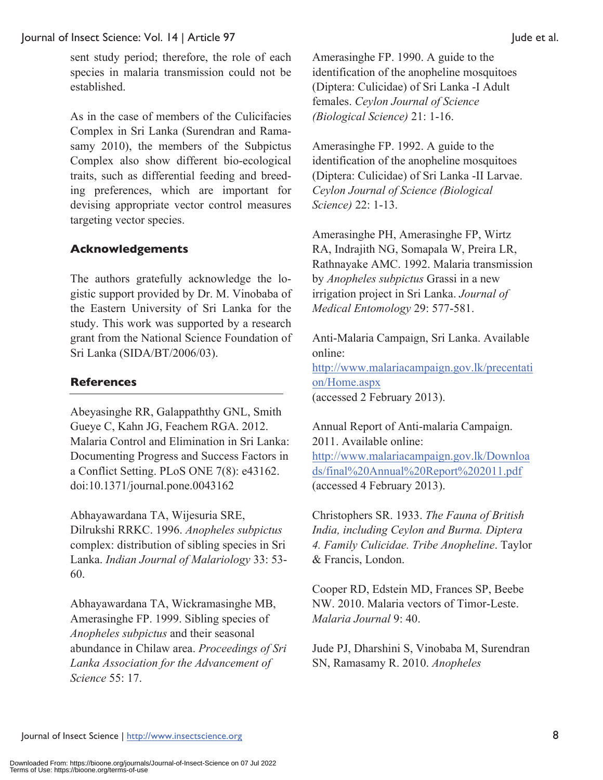sent study period; therefore, the role of each species in malaria transmission could not be established.

As in the case of members of the Culicifacies Complex in Sri Lanka (Surendran and Ramasamy 2010), the members of the Subpictus Complex also show different bio-ecological traits, such as differential feeding and breeding preferences, which are important for devising appropriate vector control measures targeting vector species.

# **Acknowledgements**

The authors gratefully acknowledge the logistic support provided by Dr. M. Vinobaba of the Eastern University of Sri Lanka for the study. This work was supported by a research grant from the National Science Foundation of Sri Lanka (SIDA/BT/2006/03).

# **References**

Abeyasinghe RR, Galappaththy GNL, Smith Gueye C, Kahn JG, Feachem RGA. 2012. Malaria Control and Elimination in Sri Lanka: Documenting Progress and Success Factors in a Conflict Setting. PLoS ONE 7(8): e43162. doi:10.1371/journal.pone.0043162

Abhayawardana TA, Wijesuria SRE, Dilrukshi RRKC. 1996. *Anopheles subpictus*  complex: distribution of sibling species in Sri Lanka. *Indian Journal of Malariology* 33: 53- 60.

Abhayawardana TA, Wickramasinghe MB, Amerasinghe FP. 1999. Sibling species of *Anopheles subpictus* and their seasonal abundance in Chilaw area. *Proceedings of Sri Lanka Association for the Advancement of Science* 55: 17.

Amerasinghe FP. 1990. A guide to the identification of the anopheline mosquitoes (Diptera: Culicidae) of Sri Lanka -I Adult females. *Ceylon Journal of Science (Biological Science)* 21: 1-16.

Amerasinghe FP. 1992. A guide to the identification of the anopheline mosquitoes (Diptera: Culicidae) of Sri Lanka -II Larvae. *Ceylon Journal of Science (Biological Science)* 22: 1-13.

Amerasinghe PH, Amerasinghe FP, Wirtz RA, Indrajith NG, Somapala W, Preira LR, Rathnayake AMC. 1992. Malaria transmission by *Anopheles subpictus* Grassi in a new irrigation project in Sri Lanka. *Journal of Medical Entomology* 29: 577-581.

Anti-Malaria Campaign, Sri Lanka. Available online: http://www.malariacampaign.gov.lk/precentati on/Home.aspx (accessed 2 February 2013).

Annual Report of Anti-malaria Campaign. 2011. Available online: http://www.malariacampaign.gov.lk/Downloa ds/final%20Annual%20Report%202011.pdf (accessed 4 February 2013).

Christophers SR. 1933. *The Fauna of British India, including Ceylon and Burma. Diptera 4. Family Culicidae. Tribe Anopheline*. Taylor & Francis, London.

Cooper RD, Edstein MD, Frances SP, Beebe NW. 2010. Malaria vectors of Timor-Leste. *Malaria Journal* 9: 40.

Jude PJ, Dharshini S, Vinobaba M, Surendran SN, Ramasamy R. 2010. *Anopheles*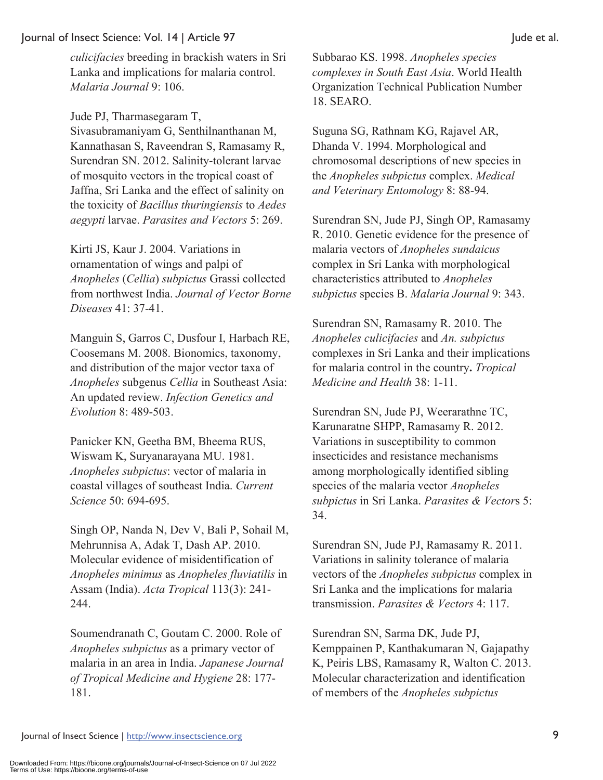*culicifacies* breeding in brackish waters in Sri Lanka and implications for malaria control. *Malaria Journal* 9: 106.

Jude PJ, Tharmasegaram T, Sivasubramaniyam G, Senthilnanthanan M, Kannathasan S, Raveendran S, Ramasamy R, Surendran SN. 2012. Salinity-tolerant larvae of mosquito vectors in the tropical coast of Jaffna, Sri Lanka and the effect of salinity on the toxicity of *Bacillus thuringiensis* to *Aedes aegypti* larvae. *Parasites and Vectors* 5: 269.

Kirti JS, Kaur J. 2004. Variations in ornamentation of wings and palpi of *Anopheles* (*Cellia*) *subpictus* Grassi collected from northwest India. *Journal of Vector Borne Diseases* 41: 37-41.

Manguin S, Garros C, Dusfour I, Harbach RE, Coosemans M. 2008. Bionomics, taxonomy, and distribution of the major vector taxa of *Anopheles* subgenus *Cellia* in Southeast Asia: An updated review. *Infection Genetics and Evolution* 8: 489-503.

Panicker KN, Geetha BM, Bheema RUS, Wiswam K, Suryanarayana MU. 1981. *Anopheles subpictus*: vector of malaria in coastal villages of southeast India. *Current Science* 50: 694-695.

Singh OP, Nanda N, Dev V, Bali P, Sohail M, Mehrunnisa A, Adak T, Dash AP. 2010. Molecular evidence of misidentification of *Anopheles minimus* as *Anopheles fluviatilis* in Assam (India). *Acta Tropical* 113(3): 241- 244.

Soumendranath C, Goutam C. 2000. Role of *Anopheles subpictus* as a primary vector of malaria in an area in India. *Japanese Journal of Tropical Medicine and Hygiene* 28: 177- 181.

Subbarao KS. 1998. *Anopheles species complexes in South East Asia*. World Health Organization Technical Publication Number 18. SEARO.

Suguna SG, Rathnam KG, Rajavel AR, Dhanda V. 1994. Morphological and chromosomal descriptions of new species in the *Anopheles subpictus* complex. *Medical and Veterinary Entomology* 8: 88-94.

Surendran SN, Jude PJ, Singh OP, Ramasamy R. 2010. Genetic evidence for the presence of malaria vectors of *Anopheles sundaicus* complex in Sri Lanka with morphological characteristics attributed to *Anopheles subpictus* species B. *Malaria Journal* 9: 343.

Surendran SN, Ramasamy R. 2010. The *Anopheles culicifacies* and *An. subpictus* complexes in Sri Lanka and their implications for malaria control in the country**.** *Tropical Medicine and Health* 38: 1-11.

Surendran SN, Jude PJ, Weerarathne TC, Karunaratne SHPP, Ramasamy R. 2012. Variations in susceptibility to common insecticides and resistance mechanisms among morphologically identified sibling species of the malaria vector *Anopheles subpictus* in Sri Lanka. *Parasites & Vector*s 5: 34.

Surendran SN, Jude PJ, Ramasamy R. 2011. Variations in salinity tolerance of malaria vectors of the *Anopheles subpictus* complex in Sri Lanka and the implications for malaria transmission. *Parasites & Vectors* 4: 117.

Surendran SN, Sarma DK, Jude PJ, Kemppainen P, Kanthakumaran N, Gajapathy K, Peiris LBS, Ramasamy R, Walton C. 2013. Molecular characterization and identification of members of the *Anopheles subpictus*